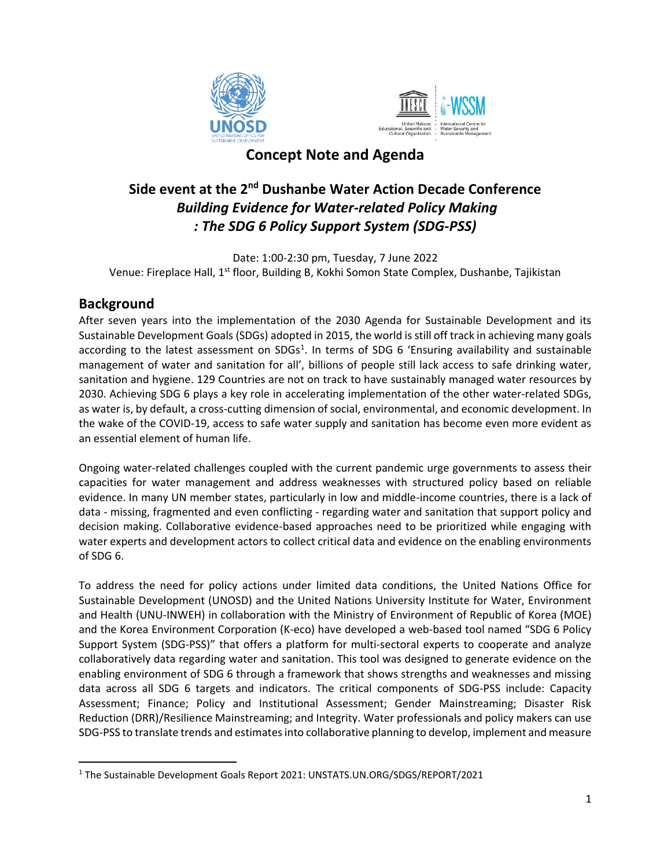



## **Concept Note and Agenda**

# **Side event at the 2nd Dushanbe Water Action Decade Conference** *Building Evidence for Water-related Policy Making : The SDG 6 Policy Support System (SDG-PSS)*

Date: 1:00-2:30 pm, Tuesday, 7 June 2022 Venue: Fireplace Hall, 1st floor, Building B, Kokhi Somon State Complex, Dushanbe, Tajikistan

#### **Background**

After seven years into the implementation of the 2030 Agenda for Sustainable Development and its Sustainable Development Goals (SDGs) adopted in 2015, the world is still off track in achieving many goals according to the latest assessment on SDGs<sup>1</sup>. In terms of SDG 6 'Ensuring availability and sustainable management of water and sanitation for all', billions of people still lack access to safe drinking water, sanitation and hygiene. 129 Countries are not on track to have sustainably managed water resources by 2030. Achieving SDG 6 plays a key role in accelerating implementation of the other water-related SDGs, as water is, by default, a cross-cutting dimension of social, environmental, and economic development. In the wake of the COVID-19, access to safe water supply and sanitation has become even more evident as an essential element of human life.

Ongoing water-related challenges coupled with the current pandemic urge governments to assess their capacities for water management and address weaknesses with structured policy based on reliable evidence. In many UN member states, particularly in low and middle-income countries, there is a lack of data - missing, fragmented and even conflicting - regarding water and sanitation that support policy and decision making. Collaborative evidence-based approaches need to be prioritized while engaging with water experts and development actors to collect critical data and evidence on the enabling environments of SDG 6.

To address the need for policy actions under limited data conditions, the United Nations Office for Sustainable Development (UNOSD) and the United Nations University Institute for Water, Environment and Health (UNU-INWEH) in collaboration with the Ministry of Environment of Republic of Korea (MOE) and the Korea Environment Corporation (K-eco) have developed a web-based tool named "SDG 6 Policy Support System (SDG-PSS)" that offers a platform for multi-sectoral experts to cooperate and analyze collaboratively data regarding water and sanitation. This tool was designed to generate evidence on the enabling environment of SDG 6 through a framework that shows strengths and weaknesses and missing data across all SDG 6 targets and indicators. The critical components of SDG-PSS include: Capacity Assessment; Finance; Policy and Institutional Assessment; Gender Mainstreaming; Disaster Risk Reduction (DRR)/Resilience Mainstreaming; and Integrity. Water professionals and policy makers can use SDG-PSS to translate trends and estimates into collaborative planning to develop, implement and measure

<sup>1</sup> The Sustainable Development Goals Report 2021: UNSTATS.UN.ORG/SDGS/REPORT/2021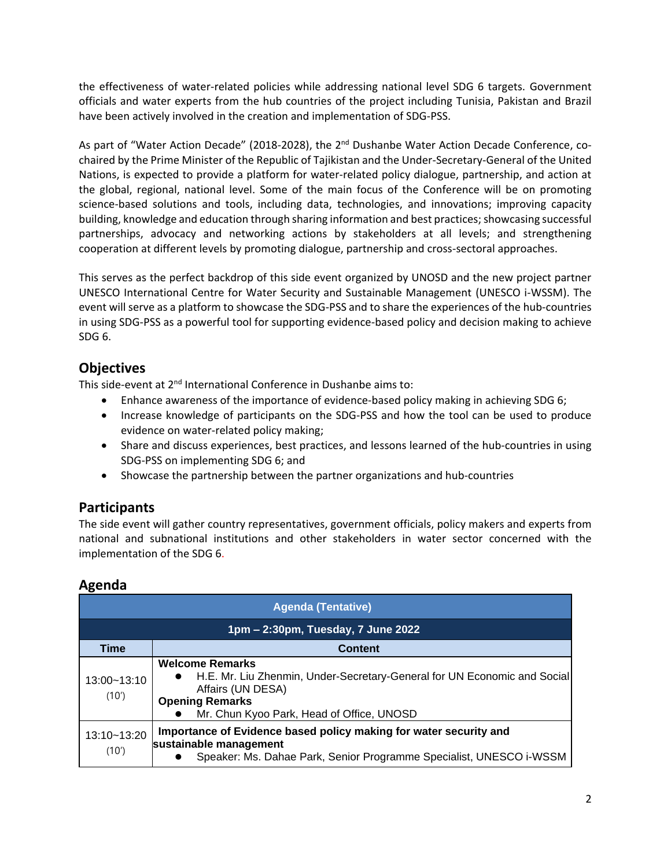the effectiveness of water-related policies while addressing national level SDG 6 targets. Government officials and water experts from the hub countries of the project including Tunisia, Pakistan and Brazil have been actively involved in the creation and implementation of SDG-PSS.

As part of "Water Action Decade" (2018-2028), the 2<sup>nd</sup> Dushanbe Water Action Decade Conference, cochaired by the Prime Minister of the Republic of Tajikistan and the Under-Secretary-General of the United Nations, is expected to provide a platform for water-related policy dialogue, partnership, and action at the global, regional, national level. Some of the main focus of the Conference will be on promoting science-based solutions and tools, including data, technologies, and innovations; improving capacity building, knowledge and education through sharing information and best practices; showcasing successful partnerships, advocacy and networking actions by stakeholders at all levels; and strengthening cooperation at different levels by promoting dialogue, partnership and cross-sectoral approaches.

This serves as the perfect backdrop of this side event organized by UNOSD and the new project partner UNESCO International Centre for Water Security and Sustainable Management (UNESCO i-WSSM). The event will serve as a platform to showcase the SDG-PSS and to share the experiences of the hub-countries in using SDG-PSS as a powerful tool for supporting evidence-based policy and decision making to achieve SDG 6.

## **Objectives**

This side-event at 2<sup>nd</sup> International Conference in Dushanbe aims to:

- Enhance awareness of the importance of evidence-based policy making in achieving SDG 6;
- Increase knowledge of participants on the SDG-PSS and how the tool can be used to produce evidence on water-related policy making;
- Share and discuss experiences, best practices, and lessons learned of the hub-countries in using SDG-PSS on implementing SDG 6; and
- Showcase the partnership between the partner organizations and hub-countries

#### **Participants**

The side event will gather country representatives, government officials, policy makers and experts from national and subnational institutions and other stakeholders in water sector concerned with the implementation of the SDG 6.

## **Agenda**

| <b>Agenda (Tentative)</b>          |                                                                                                                                                                                                |  |
|------------------------------------|------------------------------------------------------------------------------------------------------------------------------------------------------------------------------------------------|--|
| 1pm – 2:30pm, Tuesday, 7 June 2022 |                                                                                                                                                                                                |  |
| <b>Time</b>                        | Content                                                                                                                                                                                        |  |
| 13:00~13:10<br>(10')               | <b>Welcome Remarks</b><br>H.E. Mr. Liu Zhenmin, Under-Secretary-General for UN Economic and Social<br>Affairs (UN DESA)<br><b>Opening Remarks</b><br>Mr. Chun Kyoo Park, Head of Office, UNOSD |  |
| 13:10~13:20<br>(10')               | Importance of Evidence based policy making for water security and<br>sustainable management<br>Speaker: Ms. Dahae Park, Senior Programme Specialist, UNESCO i-WSSM                             |  |